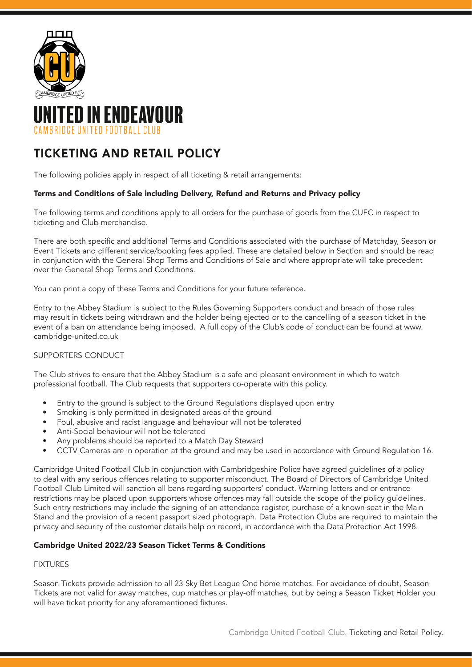



# TICKETING AND RETAIL POLICY

The following policies apply in respect of all ticketing & retail arrangements:

# Terms and Conditions of Sale including Delivery, Refund and Returns and Privacy policy

The following terms and conditions apply to all orders for the purchase of goods from the CUFC in respect to ticketing and Club merchandise.

There are both specific and additional Terms and Conditions associated with the purchase of Matchday, Season or Event Tickets and different service/booking fees applied. These are detailed below in Section and should be read in conjunction with the General Shop Terms and Conditions of Sale and where appropriate will take precedent over the General Shop Terms and Conditions.

You can print a copy of these Terms and Conditions for your future reference.

Entry to the Abbey Stadium is subject to the Rules Governing Supporters conduct and breach of those rules may result in tickets being withdrawn and the holder being ejected or to the cancelling of a season ticket in the event of a ban on attendance being imposed. A full copy of the Club's code of conduct can be found at www. cambridge-united.co.uk

# SUPPORTERS CONDUCT

The Club strives to ensure that the Abbey Stadium is a safe and pleasant environment in which to watch professional football. The Club requests that supporters co-operate with this policy.

- Entry to the ground is subject to the Ground Regulations displayed upon entry
- Smoking is only permitted in designated areas of the ground
- Foul, abusive and racist language and behaviour will not be tolerated
- Anti-Social behaviour will not be tolerated
- Any problems should be reported to a Match Day Steward
- CCTV Cameras are in operation at the ground and may be used in accordance with Ground Regulation 16.

Cambridge United Football Club in conjunction with Cambridgeshire Police have agreed guidelines of a policy to deal with any serious offences relating to supporter misconduct. The Board of Directors of Cambridge United Football Club Limited will sanction all bans regarding supporters' conduct. Warning letters and or entrance restrictions may be placed upon supporters whose offences may fall outside the scope of the policy guidelines. Such entry restrictions may include the signing of an attendance register, purchase of a known seat in the Main Stand and the provision of a recent passport sized photograph. Data Protection Clubs are required to maintain the privacy and security of the customer details help on record, in accordance with the Data Protection Act 1998.

# Cambridge United 2022/23 Season Ticket Terms & Conditions

## FIXTURES

Season Tickets provide admission to all 23 Sky Bet League One home matches. For avoidance of doubt, Season Tickets are not valid for away matches, cup matches or play-off matches, but by being a Season Ticket Holder you will have ticket priority for any aforementioned fixtures.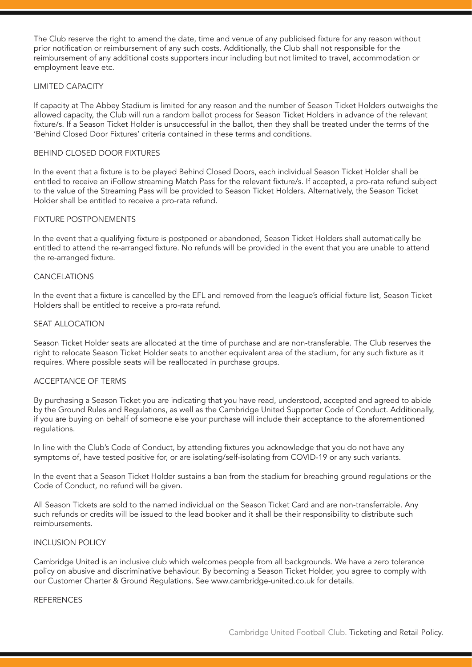The Club reserve the right to amend the date, time and venue of any publicised fixture for any reason without prior notification or reimbursement of any such costs. Additionally, the Club shall not responsible for the reimbursement of any additional costs supporters incur including but not limited to travel, accommodation or employment leave etc.

## LIMITED CAPACITY

If capacity at The Abbey Stadium is limited for any reason and the number of Season Ticket Holders outweighs the allowed capacity, the Club will run a random ballot process for Season Ticket Holders in advance of the relevant fixture/s. If a Season Ticket Holder is unsuccessful in the ballot, then they shall be treated under the terms of the 'Behind Closed Door Fixtures' criteria contained in these terms and conditions.

## BEHIND CLOSED DOOR FIXTURES

In the event that a fixture is to be played Behind Closed Doors, each individual Season Ticket Holder shall be entitled to receive an iFollow streaming Match Pass for the relevant fixture/s. If accepted, a pro-rata refund subject to the value of the Streaming Pass will be provided to Season Ticket Holders. Alternatively, the Season Ticket Holder shall be entitled to receive a pro-rata refund.

## FIXTURE POSTPONEMENTS

In the event that a qualifying fixture is postponed or abandoned, Season Ticket Holders shall automatically be entitled to attend the re-arranged fixture. No refunds will be provided in the event that you are unable to attend the re-arranged fixture.

## CANCELATIONS

In the event that a fixture is cancelled by the EFL and removed from the league's official fixture list, Season Ticket Holders shall be entitled to receive a pro-rata refund.

## SEAT ALLOCATION

Season Ticket Holder seats are allocated at the time of purchase and are non-transferable. The Club reserves the right to relocate Season Ticket Holder seats to another equivalent area of the stadium, for any such fixture as it requires. Where possible seats will be reallocated in purchase groups.

## ACCEPTANCE OF TERMS

By purchasing a Season Ticket you are indicating that you have read, understood, accepted and agreed to abide by the Ground Rules and Regulations, as well as the Cambridge United Supporter Code of Conduct. Additionally, if you are buying on behalf of someone else your purchase will include their acceptance to the aforementioned regulations.

In line with the Club's Code of Conduct, by attending fixtures you acknowledge that you do not have any symptoms of, have tested positive for, or are isolating/self-isolating from COVID-19 or any such variants.

In the event that a Season Ticket Holder sustains a ban from the stadium for breaching ground regulations or the Code of Conduct, no refund will be given.

All Season Tickets are sold to the named individual on the Season Ticket Card and are non-transferrable. Any such refunds or credits will be issued to the lead booker and it shall be their responsibility to distribute such reimbursements.

## INCLUSION POLICY

Cambridge United is an inclusive club which welcomes people from all backgrounds. We have a zero tolerance policy on abusive and discriminative behaviour. By becoming a Season Ticket Holder, you agree to comply with our Customer Charter & Ground Regulations. See www.cambridge-united.co.uk for details.

#### **REFERENCES**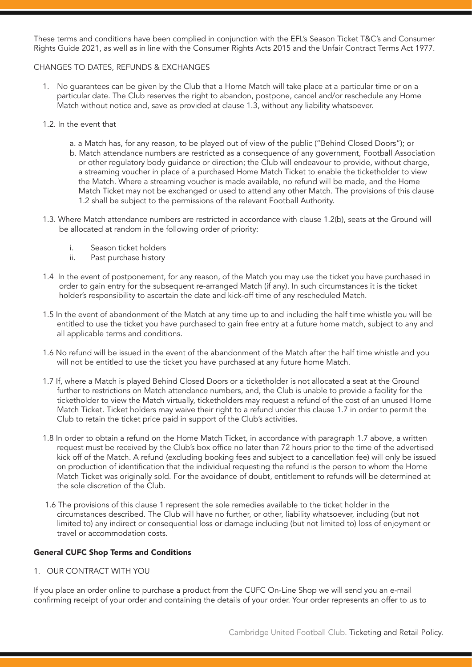These terms and conditions have been complied in conjunction with the EFL's Season Ticket T&C's and Consumer Rights Guide 2021, as well as in line with the Consumer Rights Acts 2015 and the Unfair Contract Terms Act 1977.

## CHANGES TO DATES, REFUNDS & EXCHANGES

- 1. No guarantees can be given by the Club that a Home Match will take place at a particular time or on a particular date. The Club reserves the right to abandon, postpone, cancel and/or reschedule any Home Match without notice and, save as provided at clause 1.3, without any liability whatsoever.
- 1.2. In the event that
	- a. a Match has, for any reason, to be played out of view of the public ("Behind Closed Doors"); or b. Match attendance numbers are restricted as a consequence of any government, Football Association or other regulatory body guidance or direction; the Club will endeavour to provide, without charge, a streaming voucher in place of a purchased Home Match Ticket to enable the ticketholder to view the Match. Where a streaming voucher is made available, no refund will be made, and the Home Match Ticket may not be exchanged or used to attend any other Match. The provisions of this clause 1.2 shall be subject to the permissions of the relevant Football Authority.
- 1.3. Where Match attendance numbers are restricted in accordance with clause 1.2(b), seats at the Ground will be allocated at random in the following order of priority:
	- i. Season ticket holders<br>ii. Past purchase history
	- Past purchase history
- 1.4 In the event of postponement, for any reason, of the Match you may use the ticket you have purchased in order to gain entry for the subsequent re-arranged Match (if any). In such circumstances it is the ticket holder's responsibility to ascertain the date and kick-off time of any rescheduled Match.
- 1.5 In the event of abandonment of the Match at any time up to and including the half time whistle you will be entitled to use the ticket you have purchased to gain free entry at a future home match, subject to any and all applicable terms and conditions.
- 1.6 No refund will be issued in the event of the abandonment of the Match after the half time whistle and you will not be entitled to use the ticket you have purchased at any future home Match.
- 1.7 If, where a Match is played Behind Closed Doors or a ticketholder is not allocated a seat at the Ground further to restrictions on Match attendance numbers, and, the Club is unable to provide a facility for the ticketholder to view the Match virtually, ticketholders may request a refund of the cost of an unused Home Match Ticket. Ticket holders may waive their right to a refund under this clause 1.7 in order to permit the Club to retain the ticket price paid in support of the Club's activities.
- 1.8 In order to obtain a refund on the Home Match Ticket, in accordance with paragraph 1.7 above, a written request must be received by the Club's box office no later than 72 hours prior to the time of the advertised kick off of the Match. A refund (excluding booking fees and subject to a cancellation fee) will only be issued on production of identification that the individual requesting the refund is the person to whom the Home Match Ticket was originally sold. For the avoidance of doubt, entitlement to refunds will be determined at the sole discretion of the Club.
- 1.6 The provisions of this clause 1 represent the sole remedies available to the ticket holder in the circumstances described. The Club will have no further, or other, liability whatsoever, including (but not limited to) any indirect or consequential loss or damage including (but not limited to) loss of enjoyment or travel or accommodation costs.

## General CUFC Shop Terms and Conditions

1. OUR CONTRACT WITH YOU

If you place an order online to purchase a product from the CUFC On-Line Shop we will send you an e-mail confirming receipt of your order and containing the details of your order. Your order represents an offer to us to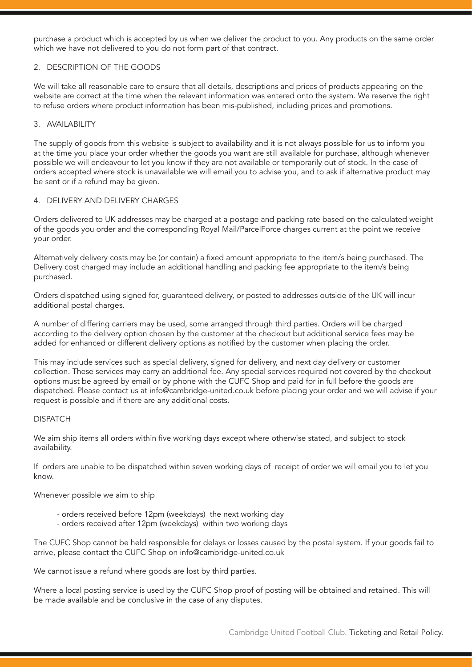purchase a product which is accepted by us when we deliver the product to you. Any products on the same order which we have not delivered to you do not form part of that contract.

## 2. DESCRIPTION OF THE GOODS

We will take all reasonable care to ensure that all details, descriptions and prices of products appearing on the website are correct at the time when the relevant information was entered onto the system. We reserve the right to refuse orders where product information has been mis-published, including prices and promotions.

## 3. AVAILABILITY

The supply of goods from this website is subject to availability and it is not always possible for us to inform you at the time you place your order whether the goods you want are still available for purchase, although whenever possible we will endeavour to let you know if they are not available or temporarily out of stock. In the case of orders accepted where stock is unavailable we will email you to advise you, and to ask if alternative product may be sent or if a refund may be given.

## 4. DELIVERY AND DELIVERY CHARGES

Orders delivered to UK addresses may be charged at a postage and packing rate based on the calculated weight of the goods you order and the corresponding Royal Mail/ParcelForce charges current at the point we receive your order.

Alternatively delivery costs may be (or contain) a fixed amount appropriate to the item/s being purchased. The Delivery cost charged may include an additional handling and packing fee appropriate to the item/s being purchased.

Orders dispatched using signed for, guaranteed delivery, or posted to addresses outside of the UK will incur additional postal charges.

A number of differing carriers may be used, some arranged through third parties. Orders will be charged according to the delivery option chosen by the customer at the checkout but additional service fees may be added for enhanced or different delivery options as notified by the customer when placing the order.

This may include services such as special delivery, signed for delivery, and next day delivery or customer collection. These services may carry an additional fee. Any special services required not covered by the checkout options must be agreed by email or by phone with the CUFC Shop and paid for in full before the goods are dispatched. Please contact us at info@cambridge-united.co.uk before placing your order and we will advise if your request is possible and if there are any additional costs.

#### DISPATCH

We aim ship items all orders within five working days except where otherwise stated, and subject to stock availability.

If orders are unable to be dispatched within seven working days of receipt of order we will email you to let you know.

Whenever possible we aim to ship

- orders received before 12pm (weekdays) the next working day
- orders received after 12pm (weekdays) within two working days

The CUFC Shop cannot be held responsible for delays or losses caused by the postal system. If your goods fail to arrive, please contact the CUFC Shop on info@cambridge-united.co.uk

We cannot issue a refund where goods are lost by third parties.

Where a local posting service is used by the CUFC Shop proof of posting will be obtained and retained. This will be made available and be conclusive in the case of any disputes.

Cambridge United Football Club. Ticketing and Retail Policy.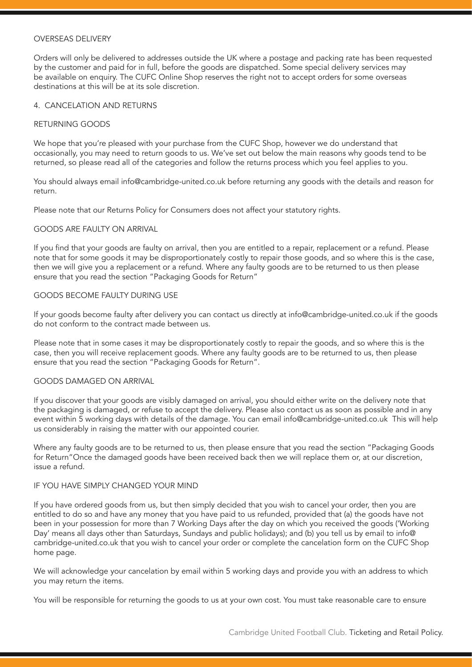#### OVERSEAS DELIVERY

Orders will only be delivered to addresses outside the UK where a postage and packing rate has been requested by the customer and paid for in full, before the goods are dispatched. Some special delivery services may be available on enquiry. The CUFC Online Shop reserves the right not to accept orders for some overseas destinations at this will be at its sole discretion.

## 4. CANCELATION AND RETURNS

## RETURNING GOODS

We hope that you're pleased with your purchase from the CUFC Shop, however we do understand that occasionally, you may need to return goods to us. We've set out below the main reasons why goods tend to be returned, so please read all of the categories and follow the returns process which you feel applies to you.

You should always email info@cambridge-united.co.uk before returning any goods with the details and reason for return.

Please note that our Returns Policy for Consumers does not affect your statutory rights.

## GOODS ARE FAULTY ON ARRIVAL

If you find that your goods are faulty on arrival, then you are entitled to a repair, replacement or a refund. Please note that for some goods it may be disproportionately costly to repair those goods, and so where this is the case, then we will give you a replacement or a refund. Where any faulty goods are to be returned to us then please ensure that you read the section "Packaging Goods for Return"

## GOODS BECOME FAULTY DURING USE

If your goods become faulty after delivery you can contact us directly at info@cambridge-united.co.uk if the goods do not conform to the contract made between us.

Please note that in some cases it may be disproportionately costly to repair the goods, and so where this is the case, then you will receive replacement goods. Where any faulty goods are to be returned to us, then please ensure that you read the section "Packaging Goods for Return".

## GOODS DAMAGED ON ARRIVAL

If you discover that your goods are visibly damaged on arrival, you should either write on the delivery note that the packaging is damaged, or refuse to accept the delivery. Please also contact us as soon as possible and in any event within 5 working days with details of the damage. You can email info@cambridge-united.co.uk This will help us considerably in raising the matter with our appointed courier.

Where any faulty goods are to be returned to us, then please ensure that you read the section "Packaging Goods for Return"Once the damaged goods have been received back then we will replace them or, at our discretion, issue a refund.

#### IF YOU HAVE SIMPLY CHANGED YOUR MIND

If you have ordered goods from us, but then simply decided that you wish to cancel your order, then you are entitled to do so and have any money that you have paid to us refunded, provided that (a) the goods have not been in your possession for more than 7 Working Days after the day on which you received the goods ('Working Day' means all days other than Saturdays, Sundays and public holidays); and (b) you tell us by email to info@ cambridge-united.co.uk that you wish to cancel your order or complete the cancelation form on the CUFC Shop home page.

We will acknowledge your cancelation by email within 5 working days and provide you with an address to which you may return the items.

You will be responsible for returning the goods to us at your own cost. You must take reasonable care to ensure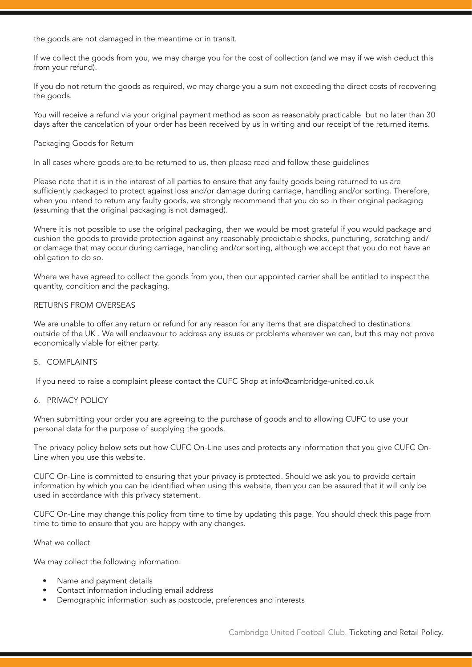the goods are not damaged in the meantime or in transit.

If we collect the goods from you, we may charge you for the cost of collection (and we may if we wish deduct this from your refund).

If you do not return the goods as required, we may charge you a sum not exceeding the direct costs of recovering the goods.

You will receive a refund via your original payment method as soon as reasonably practicable but no later than 30 days after the cancelation of your order has been received by us in writing and our receipt of the returned items.

## Packaging Goods for Return

In all cases where goods are to be returned to us, then please read and follow these guidelines

Please note that it is in the interest of all parties to ensure that any faulty goods being returned to us are sufficiently packaged to protect against loss and/or damage during carriage, handling and/or sorting. Therefore, when you intend to return any faulty goods, we strongly recommend that you do so in their original packaging (assuming that the original packaging is not damaged).

Where it is not possible to use the original packaging, then we would be most grateful if you would package and cushion the goods to provide protection against any reasonably predictable shocks, puncturing, scratching and/ or damage that may occur during carriage, handling and/or sorting, although we accept that you do not have an obligation to do so.

Where we have agreed to collect the goods from you, then our appointed carrier shall be entitled to inspect the quantity, condition and the packaging.

## RETURNS FROM OVERSEAS

We are unable to offer any return or refund for any reason for any items that are dispatched to destinations outside of the UK . We will endeavour to address any issues or problems wherever we can, but this may not prove economically viable for either party.

## 5. COMPLAINTS

If you need to raise a complaint please contact the CUFC Shop at info@cambridge-united.co.uk

## 6. PRIVACY POLICY

When submitting your order you are agreeing to the purchase of goods and to allowing CUFC to use your personal data for the purpose of supplying the goods.

The privacy policy below sets out how CUFC On-Line uses and protects any information that you give CUFC On-Line when you use this website.

CUFC On-Line is committed to ensuring that your privacy is protected. Should we ask you to provide certain information by which you can be identified when using this website, then you can be assured that it will only be used in accordance with this privacy statement.

CUFC On-Line may change this policy from time to time by updating this page. You should check this page from time to time to ensure that you are happy with any changes.

## What we collect

We may collect the following information:

- Name and payment details
- Contact information including email address
- Demographic information such as postcode, preferences and interests